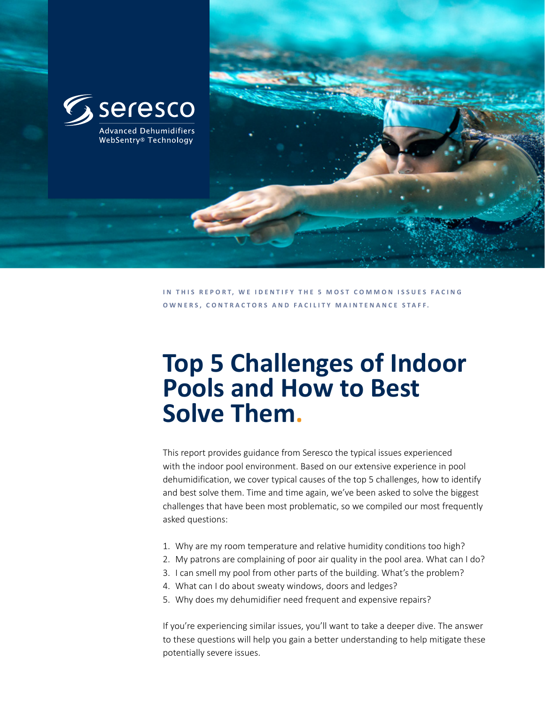

**IN THIS REPORT, WE IDENTIFY THE 5 MOST COMMON ISSUES FACING OWNERS, CONTRACTORS AND FACILITY MAINTENANCE STAFF.** 

# **Top 5 Challenges of Indoor Pools and How to Best Solve Them.**

This report provides guidance from Seresco the typical issues experienced with the indoor pool environment. Based on our extensive experience in pool dehumidification, we cover typical causes of the top 5 challenges, how to identify and best solve them. Time and time again, we've been asked to solve the biggest challenges that have been most problematic, so we compiled our most frequently asked questions:

- 1. Why are my room temperature and relative humidity conditions too high?
- 2. My patrons are complaining of poor air quality in the pool area. What can I do?
- 3. I can smell my pool from other parts of the building. What's the problem?
- 4. What can I do about sweaty windows, doors and ledges?
- 5. Why does my dehumidifier need frequent and expensive repairs?

If you're experiencing similar issues, you'll want to take a deeper dive. The answer to these questions will help you gain a better understanding to help mitigate these potentially severe issues.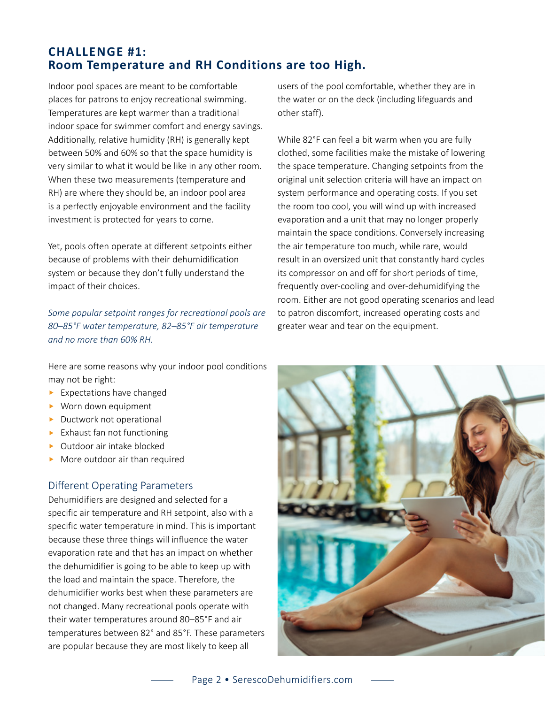# **CHALLENGE #1: Room Temperature and RH Conditions are too High.**

Indoor pool spaces are meant to be comfortable places for patrons to enjoy recreational swimming. Temperatures are kept warmer than a traditional indoor space for swimmer comfort and energy savings. Additionally, relative humidity (RH) is generally kept between 50% and 60% so that the space humidity is very similar to what it would be like in any other room. When these two measurements (temperature and RH) are where they should be, an indoor pool area is a perfectly enjoyable environment and the facility investment is protected for years to come.

Yet, pools often operate at different setpoints either because of problems with their dehumidification system or because they don't fully understand the impact of their choices.

*Some popular setpoint ranges for recreational pools are 80–85°F water temperature, 82–85°F air temperature and no more than 60% RH.*

Here are some reasons why your indoor pool conditions may not be right:

- $\blacktriangleright$  Expectations have changed
- $\blacktriangleright$  Worn down equipment
- $\blacktriangleright$  Ductwork not operational
- $\blacktriangleright$  Exhaust fan not functioning
- $\triangleright$  Outdoor air intake blocked
- $\blacktriangleright$  More outdoor air than required

#### Different Operating Parameters

Dehumidifiers are designed and selected for a specific air temperature and RH setpoint, also with a specific water temperature in mind. This is important because these three things will influence the water evaporation rate and that has an impact on whether the dehumidifier is going to be able to keep up with the load and maintain the space. Therefore, the dehumidifier works best when these parameters are not changed. Many recreational pools operate with their water temperatures around 80–85°F and air temperatures between 82° and 85°F. These parameters are popular because they are most likely to keep all

users of the pool comfortable, whether they are in the water or on the deck (including lifeguards and other staff).

While 82°F can feel a bit warm when you are fully clothed, some facilities make the mistake of lowering the space temperature. Changing setpoints from the original unit selection criteria will have an impact on system performance and operating costs. If you set the room too cool, you will wind up with increased evaporation and a unit that may no longer properly maintain the space conditions. Conversely increasing the air temperature too much, while rare, would result in an oversized unit that constantly hard cycles its compressor on and off for short periods of time, frequently over-cooling and over-dehumidifying the room. Either are not good operating scenarios and lead to patron discomfort, increased operating costs and greater wear and tear on the equipment.

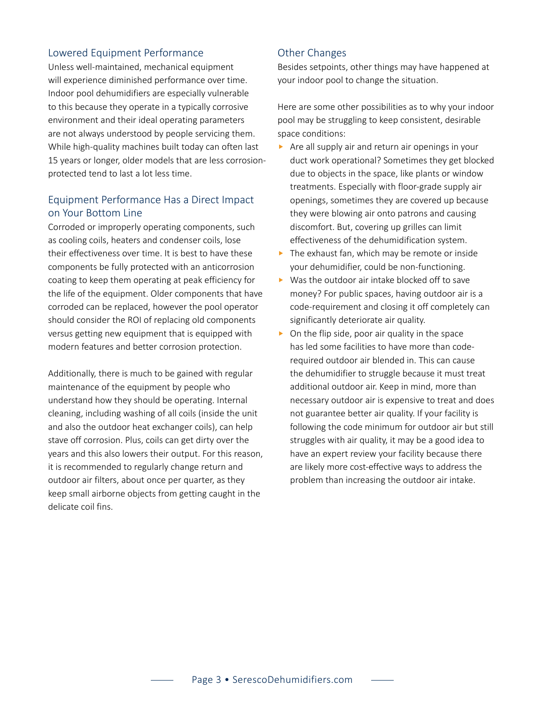## Lowered Equipment Performance

Unless well-maintained, mechanical equipment will experience diminished performance over time. Indoor pool dehumidifiers are especially vulnerable to this because they operate in a typically corrosive environment and their ideal operating parameters are not always understood by people servicing them. While high-quality machines built today can often last 15 years or longer, older models that are less corrosionprotected tend to last a lot less time.

## Equipment Performance Has a Direct Impact on Your Bottom Line

Corroded or improperly operating components, such as cooling coils, heaters and condenser coils, lose their effectiveness over time. It is best to have these components be fully protected with an anticorrosion coating to keep them operating at peak efficiency for the life of the equipment. Older components that have corroded can be replaced, however the pool operator should consider the ROI of replacing old components versus getting new equipment that is equipped with modern features and better corrosion protection.

Additionally, there is much to be gained with regular maintenance of the equipment by people who understand how they should be operating. Internal cleaning, including washing of all coils (inside the unit and also the outdoor heat exchanger coils), can help stave off corrosion. Plus, coils can get dirty over the years and this also lowers their output. For this reason, it is recommended to regularly change return and outdoor air filters, about once per quarter, as they keep small airborne objects from getting caught in the delicate coil fins.

#### Other Changes

Besides setpoints, other things may have happened at your indoor pool to change the situation.

Here are some other possibilities as to why your indoor pool may be struggling to keep consistent, desirable space conditions: 

- $\blacktriangleright$  Are all supply air and return air openings in your duct work operational? Sometimes they get blocked due to objects in the space, like plants or window treatments. Especially with floor-grade supply air openings, sometimes they are covered up because they were blowing air onto patrons and causing discomfort. But, covering up grilles can limit effectiveness of the dehumidification system.
- $\blacktriangleright$  The exhaust fan, which may be remote or inside your dehumidifier, could be non-functioning.
- $\blacktriangleright$  Was the outdoor air intake blocked off to save money? For public spaces, having outdoor air is a code-requirement and closing it off completely can significantly deteriorate air quality.
- $\triangleright$  On the flip side, poor air quality in the space has led some facilities to have more than coderequired outdoor air blended in. This can cause the dehumidifier to struggle because it must treat additional outdoor air. Keep in mind, more than necessary outdoor air is expensive to treat and does not guarantee better air quality. If your facility is following the code minimum for outdoor air but still struggles with air quality, it may be a good idea to have an expert review your facility because there are likely more cost-effective ways to address the problem than increasing the outdoor air intake.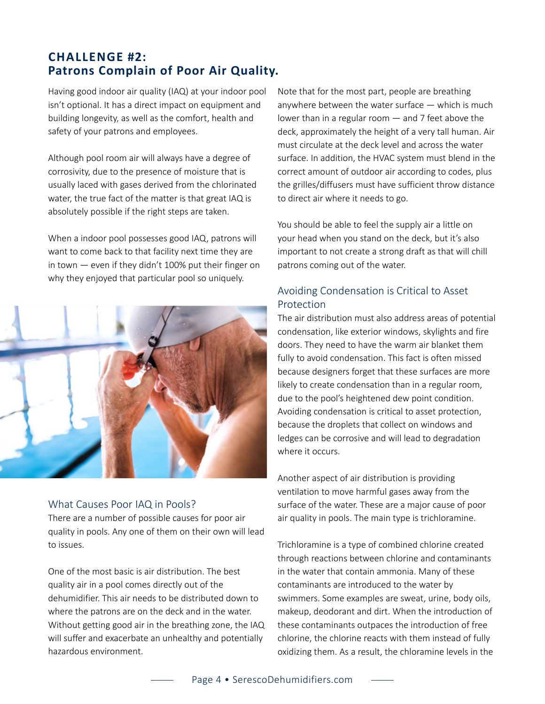# **CHALLENGE #2: Patrons Complain of Poor Air Quality.**

Having good indoor air quality (IAQ) at your indoor pool isn't optional. It has a direct impact on equipment and building longevity, as well as the comfort, health and safety of your patrons and employees.

Although pool room air will always have a degree of corrosivity, due to the presence of moisture that is usually laced with gases derived from the chlorinated water, the true fact of the matter is that great IAQ is absolutely possible if the right steps are taken.

When a indoor pool possesses good IAQ, patrons will want to come back to that facility next time they are in town — even if they didn't 100% put their finger on why they enjoyed that particular pool so uniquely.



#### What Causes Poor IAQ in Pools?

There are a number of possible causes for poor air quality in pools. Any one of them on their own will lead to issues.

One of the most basic is air distribution. The best quality air in a pool comes directly out of the dehumidifier. This air needs to be distributed down to where the patrons are on the deck and in the water. Without getting good air in the breathing zone, the IAQ will suffer and exacerbate an unhealthy and potentially hazardous environment.

Note that for the most part, people are breathing anywhere between the water surface  $-$  which is much lower than in a regular room — and 7 feet above the deck, approximately the height of a very tall human. Air must circulate at the deck level and across the water surface. In addition, the HVAC system must blend in the correct amount of outdoor air according to codes, plus the grilles/diffusers must have sufficient throw distance to direct air where it needs to go.

You should be able to feel the supply air a little on your head when you stand on the deck, but it's also important to not create a strong draft as that will chill patrons coming out of the water.

## Avoiding Condensation is Critical to Asset Protection

The air distribution must also address areas of potential condensation, like exterior windows, skylights and fire doors. They need to have the warm air blanket them fully to avoid condensation. This fact is often missed because designers forget that these surfaces are more likely to create condensation than in a regular room, due to the pool's heightened dew point condition. Avoiding condensation is critical to asset protection, because the droplets that collect on windows and ledges can be corrosive and will lead to degradation where it occurs.

Another aspect of air distribution is providing ventilation to move harmful gases away from the surface of the water. These are a major cause of poor air quality in pools. The main type is trichloramine.

Trichloramine is a type of combined chlorine created through reactions between chlorine and contaminants in the water that contain ammonia. Many of these contaminants are introduced to the water by swimmers. Some examples are sweat, urine, body oils, makeup, deodorant and dirt. When the introduction of these contaminants outpaces the introduction of free chlorine, the chlorine reacts with them instead of fully oxidizing them. As a result, the chloramine levels in the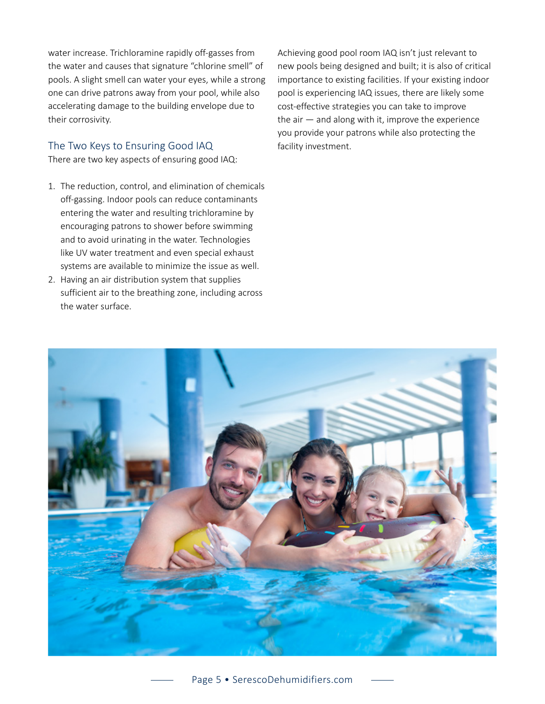water increase. Trichloramine rapidly off-gasses from the water and causes that signature "chlorine smell" of pools. A slight smell can water your eyes, while a strong one can drive patrons away from your pool, while also accelerating damage to the building envelope due to their corrosivity.

## The Two Keys to Ensuring Good IAQ

There are two key aspects of ensuring good IAQ:

- 1. The reduction, control, and elimination of chemicals off-gassing. Indoor pools can reduce contaminants entering the water and resulting trichloramine by encouraging patrons to shower before swimming and to avoid urinating in the water. Technologies like UV water treatment and even special exhaust systems are available to minimize the issue as well.
- 2. Having an air distribution system that supplies sufficient air to the breathing zone, including across the water surface.

Achieving good pool room IAQ isn't just relevant to new pools being designed and built; it is also of critical importance to existing facilities. If your existing indoor pool is experiencing IAQ issues, there are likely some cost-effective strategies you can take to improve the air  $-$  and along with it, improve the experience you provide your patrons while also protecting the facility investment.

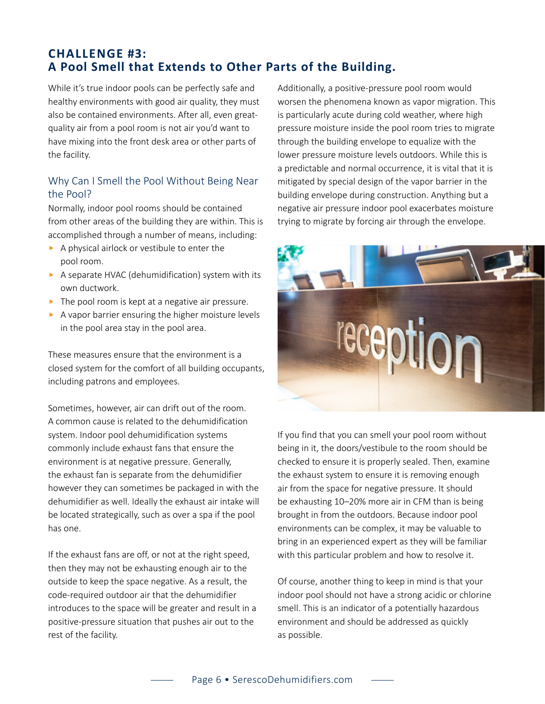# **CHALLENGE #3: A Pool Smell that Extends to Other Parts of the Building.**

While it's true indoor pools can be perfectly safe and healthy environments with good air quality, they must also be contained environments. After all, even greatquality air from a pool room is not air you'd want to have mixing into the front desk area or other parts of the facility.

## Why Can I Smell the Pool Without Being Near the Pool?

Normally, indoor pool rooms should be contained from other areas of the building they are within. This is accomplished through a number of means, including:

- $\triangleright$  A physical airlock or vestibule to enter the pool room.
- $\triangleright$  A separate HVAC (dehumidification) system with its own ductwork.
- $\blacktriangleright$  The pool room is kept at a negative air pressure.
- $\blacktriangleright$  A vapor barrier ensuring the higher moisture levels in the pool area stay in the pool area.

These measures ensure that the environment is a closed system for the comfort of all building occupants, including patrons and employees.

Sometimes, however, air can drift out of the room. A common cause is related to the dehumidification system. Indoor pool dehumidification systems commonly include exhaust fans that ensure the environment is at negative pressure. Generally, the exhaust fan is separate from the dehumidifier however they can sometimes be packaged in with the dehumidifier as well. Ideally the exhaust air intake will be located strategically, such as over a spa if the pool has one.

If the exhaust fans are off, or not at the right speed, then they may not be exhausting enough air to the outside to keep the space negative. As a result, the code-required outdoor air that the dehumidifier introduces to the space will be greater and result in a positive-pressure situation that pushes air out to the rest of the facility.

Additionally, a positive-pressure pool room would worsen the phenomena known as vapor migration. This is particularly acute during cold weather, where high pressure moisture inside the pool room tries to migrate through the building envelope to equalize with the lower pressure moisture levels outdoors. While this is a predictable and normal occurrence, it is vital that it is mitigated by special design of the vapor barrier in the building envelope during construction. Anything but a negative air pressure indoor pool exacerbates moisture trying to migrate by forcing air through the envelope.



If you find that you can smell your pool room without being in it, the doors/vestibule to the room should be checked to ensure it is properly sealed. Then, examine the exhaust system to ensure it is removing enough air from the space for negative pressure. It should be exhausting 10–20% more air in CFM than is being brought in from the outdoors. Because indoor pool environments can be complex, it may be valuable to bring in an experienced expert as they will be familiar with this particular problem and how to resolve it.

Of course, another thing to keep in mind is that your indoor pool should not have a strong acidic or chlorine smell. This is an indicator of a potentially hazardous environment and should be addressed as quickly as possible.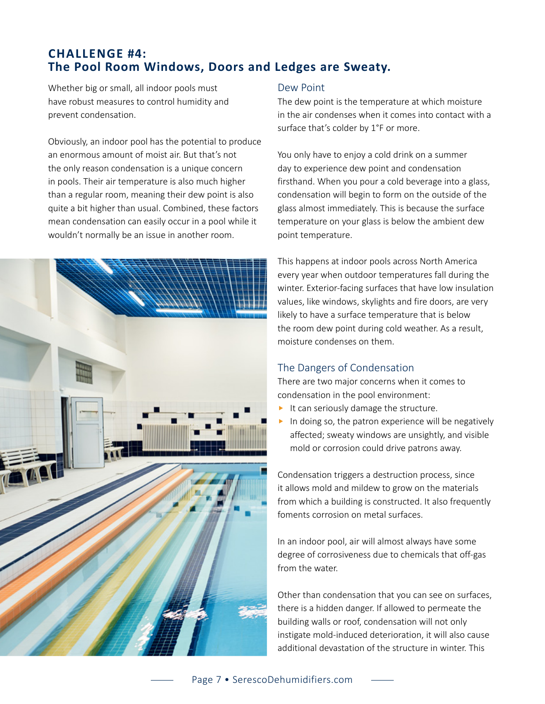# **CHALLENGE #4: The Pool Room Windows, Doors and Ledges are Sweaty.**

Whether big or small, all indoor pools must have robust measures to control humidity and prevent condensation.

Obviously, an indoor pool has the potential to produce an enormous amount of moist air. But that's not the only reason condensation is a unique concern in pools. Their air temperature is also much higher than a regular room, meaning their dew point is also quite a bit higher than usual. Combined, these factors mean condensation can easily occur in a pool while it wouldn't normally be an issue in another room.



#### Dew Point

The dew point is the temperature at which moisture in the air condenses when it comes into contact with a surface that's colder by 1°F or more.

You only have to enjoy a cold drink on a summer day to experience dew point and condensation firsthand. When you pour a cold beverage into a glass, condensation will begin to form on the outside of the glass almost immediately. This is because the surface temperature on your glass is below the ambient dew point temperature.

This happens at indoor pools across North America every year when outdoor temperatures fall during the winter. Exterior-facing surfaces that have low insulation values, like windows, skylights and fire doors, are very likely to have a surface temperature that is below the room dew point during cold weather. As a result, moisture condenses on them.

## The Dangers of Condensation

There are two major concerns when it comes to condensation in the pool environment:

- $\blacktriangleright$  It can seriously damage the structure.
- $\blacktriangleright$  In doing so, the patron experience will be negatively affected; sweaty windows are unsightly, and visible mold or corrosion could drive patrons away.

Condensation triggers a destruction process, since it allows mold and mildew to grow on the materials from which a building is constructed. It also frequently foments corrosion on metal surfaces.

In an indoor pool, air will almost always have some degree of corrosiveness due to chemicals that off-gas from the water.

Other than condensation that you can see on surfaces, there is a hidden danger. If allowed to permeate the building walls or roof, condensation will not only instigate mold-induced deterioration, it will also cause additional devastation of the structure in winter. This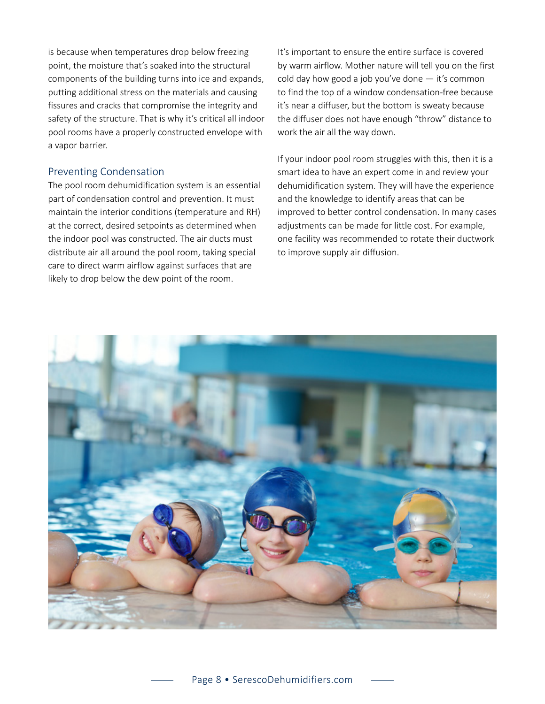is because when temperatures drop below freezing point, the moisture that's soaked into the structural components of the building turns into ice and expands, putting additional stress on the materials and causing fissures and cracks that compromise the integrity and safety of the structure. That is why it's critical all indoor pool rooms have a properly constructed envelope with a vapor barrier.

## Preventing Condensation

The pool room dehumidification system is an essential part of condensation control and prevention. It must maintain the interior conditions (temperature and RH) at the correct, desired setpoints as determined when the indoor pool was constructed. The air ducts must distribute air all around the pool room, taking special care to direct warm airflow against surfaces that are likely to drop below the dew point of the room.

It's important to ensure the entire surface is covered by warm airflow. Mother nature will tell you on the first cold day how good a job you've done  $-$  it's common to find the top of a window condensation-free because it's near a diffuser, but the bottom is sweaty because the diffuser does not have enough "throw" distance to work the air all the way down.

If your indoor pool room struggles with this, then it is a smart idea to have an expert come in and review your dehumidification system. They will have the experience and the knowledge to identify areas that can be improved to better control condensation. In many cases adjustments can be made for little cost. For example, one facility was recommended to rotate their ductwork to improve supply air diffusion.

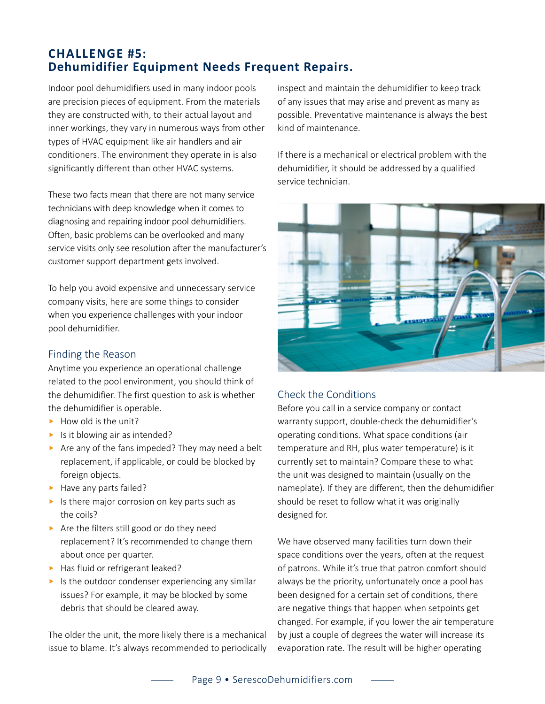# **CHALLENGE #5: Dehumidifier Equipment Needs Frequent Repairs.**

Indoor pool dehumidifiers used in many indoor pools are precision pieces of equipment. From the materials they are constructed with, to their actual layout and inner workings, they vary in numerous ways from other types of HVAC equipment like air handlers and air conditioners. The environment they operate in is also significantly different than other HVAC systems.

These two facts mean that there are not many service technicians with deep knowledge when it comes to diagnosing and repairing indoor pool dehumidifiers. Often, basic problems can be overlooked and many service visits only see resolution after the manufacturer's customer support department gets involved.

To help you avoid expensive and unnecessary service company visits, here are some things to consider when you experience challenges with your indoor pool dehumidifier.

## Finding the Reason

Anytime you experience an operational challenge related to the pool environment, you should think of the dehumidifier. The first question to ask is whether the dehumidifier is operable.

- $\blacktriangleright$  How old is the unit?
- $\blacktriangleright$  Is it blowing air as intended?
- $\triangleright$  Are any of the fans impeded? They may need a belt replacement, if applicable, or could be blocked by foreign objects.
- $\blacktriangleright$  Have any parts failed?
- $\blacktriangleright$  Is there major corrosion on key parts such as the coils?
- $\blacktriangleright$  Are the filters still good or do they need replacement? It's recommended to change them about once per quarter.
- $\blacktriangleright$  Has fluid or refrigerant leaked?
- $\blacktriangleright$  Is the outdoor condenser experiencing any similar issues? For example, it may be blocked by some debris that should be cleared away.

The older the unit, the more likely there is a mechanical issue to blame. It's always recommended to periodically inspect and maintain the dehumidifier to keep track of any issues that may arise and prevent as many as possible. Preventative maintenance is always the best kind of maintenance.

If there is a mechanical or electrical problem with the dehumidifier, it should be addressed by a qualified service technician.



## Check the Conditions

Before you call in a service company or contact warranty support, double-check the dehumidifier's operating conditions. What space conditions (air temperature and RH, plus water temperature) is it currently set to maintain? Compare these to what the unit was designed to maintain (usually on the nameplate). If they are different, then the dehumidifier should be reset to follow what it was originally designed for.

We have observed many facilities turn down their space conditions over the years, often at the request of patrons. While it's true that patron comfort should always be the priority, unfortunately once a pool has been designed for a certain set of conditions, there are negative things that happen when setpoints get changed. For example, if you lower the air temperature by just a couple of degrees the water will increase its evaporation rate. The result will be higher operating